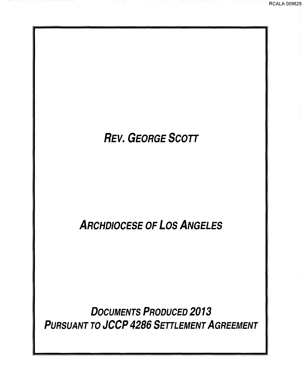# REV. GEORGE SCOTT

RCALA 009628

## ARCHDIOCESE OF LOS ANGELES

DOCUMENTS PRODUCED 2013 PURSUANT TO JCCP 4286 SETTLEMENT AGREEMENT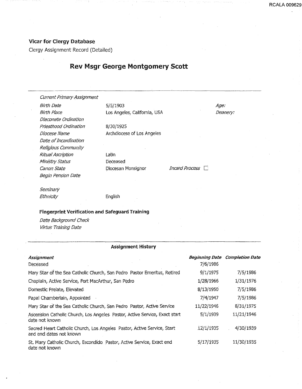### Vicar for Clergy Database

Clergy Assignment Record (Detailed)

## Rev Msgr George Montgomery Scott

Current Primary Assignment

Birth Date 5/5/1903 Diaconate Ordination Priesthood Ordination Diocese Name Date of Incardination Religious Community **Ritual Ascription** Ministry Status Canon State **Diocesan Monsignor** Incard Process Begin Pension Date

Birth Place Los Angeles, California, USA

8/30/1925 Archdiocese of Los Angeles

Latin Deceased

--~---------------·---

Age: Deanery:

**Seminary** Ethnicity **English** 

### Fingerprint Verification and Safeguard Training

Date Background Check Virtus Training Date

### Assignment History

| Assignment                                                                                         | <b>Beginning Date</b> | <b>Completion Date</b> |
|----------------------------------------------------------------------------------------------------|-----------------------|------------------------|
| Deceased                                                                                           | 7/6/1986              |                        |
| Mary Star of the Sea Catholic Church, San Pedro Pastor Emeritus, Retired                           | 9/1/1975              | 7/5/1986               |
| Chaplain, Active Service, Fort MacArthur, San Pedro                                                | 1/28/1966             | 1/31/1976              |
| Domestic Prelate, Elevated                                                                         | 8/13/1950             | 7/5/1986               |
| Papal Chamberlain, Appointed                                                                       | 7/4/1947              | 7/5/1986               |
| Mary Star of the Sea Catholic Church, San Pedro Pastor, Active Service                             | 11/22/1946            | 8/31/1975              |
| Ascension Catholic Church, Los Angeles. Pastor, Active Service, Exact start<br>date not known      | 5/1/1939              | 11/21/1946             |
| Sacred Heart Catholic Church, Los Angeles Pastor, Active Service, Start<br>and end dates not known | 12/1/1935             | 4/30/1939              |
| St. Mary Catholic Church, Escondido Pastor, Active Service, Exact end<br>date not known            | 5/17/1935             | 11/30/1935             |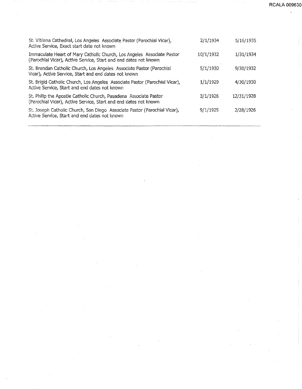| St. Vibiana Cathedral, Los Angeles Associate Pastor (Parochial Vicar),<br>Active Service, Exact start date not known                       | 2/1/1934  | 5/16/1935  |
|--------------------------------------------------------------------------------------------------------------------------------------------|-----------|------------|
| Immaculate Heart of Mary Catholic Church, Los Angeles Associate Pastor<br>(Parochial Vicar), Active Service, Start and end dates not known | 10/1/1932 | 1/31/1934  |
| St. Brendan Catholic Church, Los Angeles Associate Pastor (Parochial<br>Vicar), Active Service, Start and end dates not known              | 5/1/1930  | 9/30/1932  |
| St. Brigid Catholic Church, Los Angeles Associate Pastor (Parochial Vicar),<br>Active Service, Start and end dates not known               | 1/1/1929  | 4/30/1930  |
| St. Philip the Apostle Catholic Church, Pasadena Associate Pastor<br>(Parochial Vicar), Active Service, Start and end dates not known      | 3/1/1926  | 12/31/1928 |
| St. Joseph Catholic Church, San Diego Associate Pastor (Parochial Vicar),<br>Active Service, Start and end dates not known                 | 9/1/1925  | 2/28/1926  |
|                                                                                                                                            |           |            |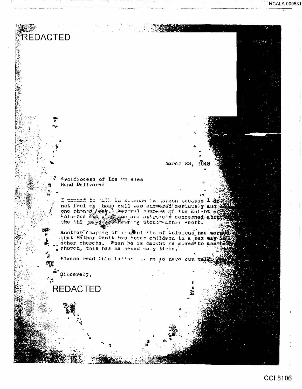**RCALA 009631** 

March 22, 1948

Archdiocese of Los An eles Hand Delivered

I manted to talk ad seasons in serven cocause 1 not feel my point of believed in security and he control with the call with annual security and he control one phone shad a security concerned about

Another chapter of multi-ts of Columbus has warned that Father Scott has touch children in a sex way if other churchs. When he is caught he moves to another pehurch, this has ha proed cany bires.

Please read this latter the respected that

Sincerely,

REDACTED

**REDACTED**